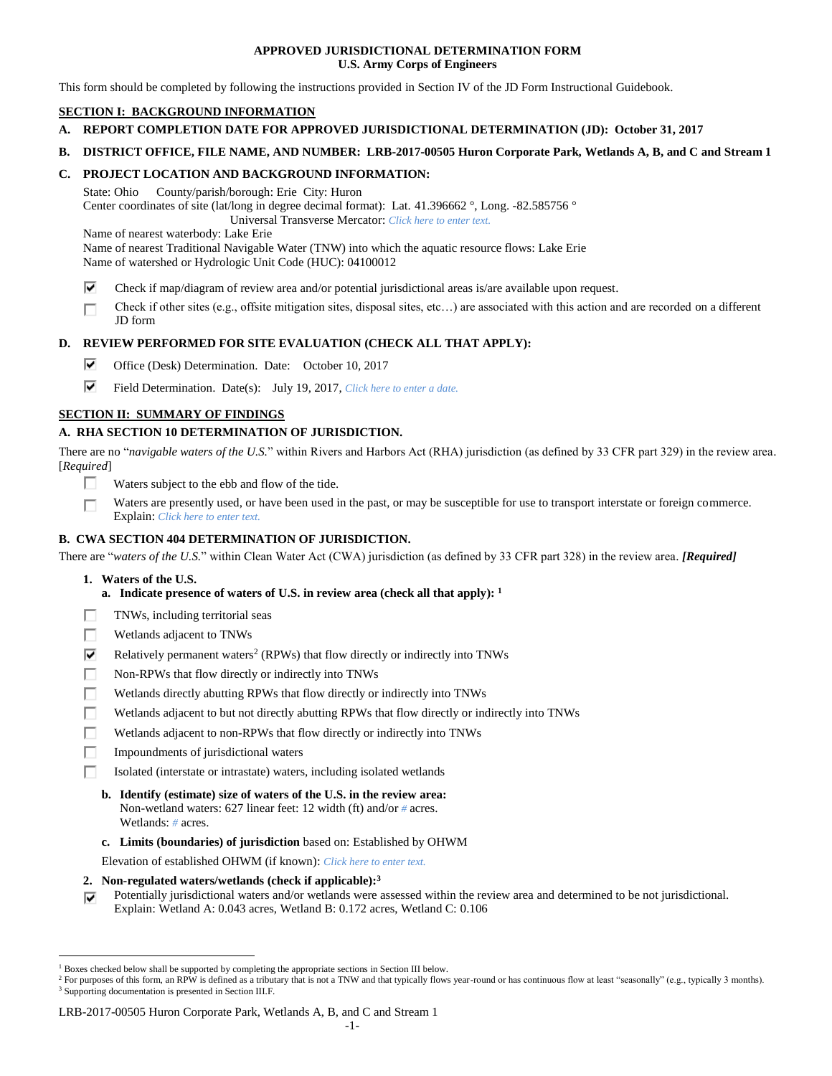## **APPROVED JURISDICTIONAL DETERMINATION FORM U.S. Army Corps of Engineers**

This form should be completed by following the instructions provided in Section IV of the JD Form Instructional Guidebook.

# **SECTION I: BACKGROUND INFORMATION**

- **A. REPORT COMPLETION DATE FOR APPROVED JURISDICTIONAL DETERMINATION (JD): October 31, 2017**
- **B. DISTRICT OFFICE, FILE NAME, AND NUMBER: LRB-2017-00505 Huron Corporate Park, Wetlands A, B, and C and Stream 1**

## **C. PROJECT LOCATION AND BACKGROUND INFORMATION:**

State: Ohio County/parish/borough: Erie City: Huron Center coordinates of site (lat/long in degree decimal format): Lat. 41.396662 °, Long. -82.585756 ° Universal Transverse Mercator: *Click here to enter text.*

Name of nearest waterbody: Lake Erie

Name of nearest Traditional Navigable Water (TNW) into which the aquatic resource flows: Lake Erie Name of watershed or Hydrologic Unit Code (HUC): 04100012

⊽ Check if map/diagram of review area and/or potential jurisdictional areas is/are available upon request.

Check if other sites (e.g., offsite mitigation sites, disposal sites, etc…) are associated with this action and are recorded on a different п JD form

# **D. REVIEW PERFORMED FOR SITE EVALUATION (CHECK ALL THAT APPLY):**

- ⊽ Office (Desk) Determination. Date: October 10, 2017
- ⊽ Field Determination. Date(s): July 19, 2017, *Click here to enter a date.*

# **SECTION II: SUMMARY OF FINDINGS**

# **A. RHA SECTION 10 DETERMINATION OF JURISDICTION.**

There are no "*navigable waters of the U.S.*" within Rivers and Harbors Act (RHA) jurisdiction (as defined by 33 CFR part 329) in the review area. [*Required*]

- п. Waters subject to the ebb and flow of the tide.
- Waters are presently used, or have been used in the past, or may be susceptible for use to transport interstate or foreign commerce. П Explain: *Click here to enter text.*

# **B. CWA SECTION 404 DETERMINATION OF JURISDICTION.**

There are "*waters of the U.S.*" within Clean Water Act (CWA) jurisdiction (as defined by 33 CFR part 328) in the review area. *[Required]*

**1. Waters of the U.S.**

 $\overline{a}$ 

- **a. Indicate presence of waters of U.S. in review area (check all that apply): 1**
- Е TNWs, including territorial seas
- п Wetlands adjacent to TNWs
- ⊽ Relatively permanent waters<sup>2</sup> (RPWs) that flow directly or indirectly into TNWs
- г Non-RPWs that flow directly or indirectly into TNWs
- П Wetlands directly abutting RPWs that flow directly or indirectly into TNWs
- Wetlands adjacent to but not directly abutting RPWs that flow directly or indirectly into TNWs Е
- Wetlands adjacent to non-RPWs that flow directly or indirectly into TNWs г
- п Impoundments of jurisdictional waters
- П. Isolated (interstate or intrastate) waters, including isolated wetlands
	- **b. Identify (estimate) size of waters of the U.S. in the review area:** Non-wetland waters: 627 linear feet: 12 width (ft) and/or *#* acres. Wetlands: *#* acres.
	- **c. Limits (boundaries) of jurisdiction** based on: Established by OHWM

Elevation of established OHWM (if known): *Click here to enter text.*

- **2. Non-regulated waters/wetlands (check if applicable): 3**
- Potentially jurisdictional waters and/or wetlands were assessed within the review area and determined to be not jurisdictional. ⊽ Explain: Wetland A: 0.043 acres, Wetland B: 0.172 acres, Wetland C: 0.106

### LRB-2017-00505 Huron Corporate Park, Wetlands A, B, and C and Stream 1

<sup>1</sup> Boxes checked below shall be supported by completing the appropriate sections in Section III below.

<sup>&</sup>lt;sup>2</sup> For purposes of this form, an RPW is defined as a tributary that is not a TNW and that typically flows year-round or has continuous flow at least "seasonally" (e.g., typically 3 months). <sup>3</sup> Supporting documentation is presented in Section III.F.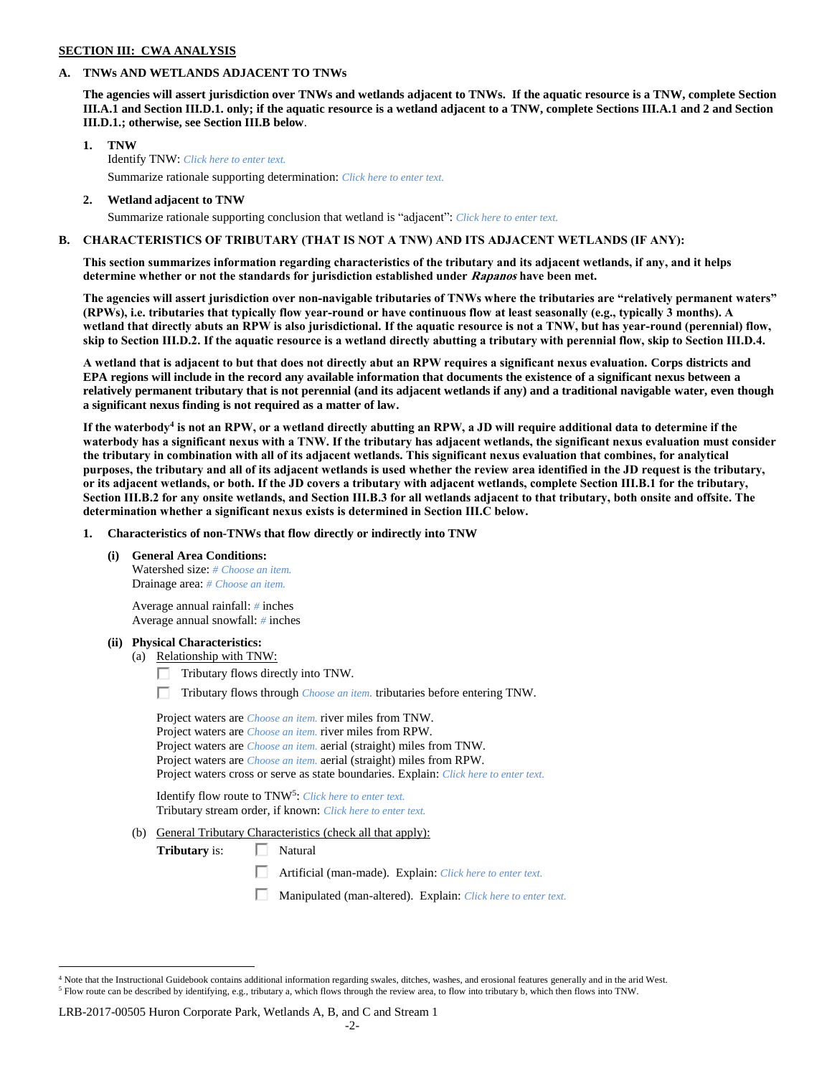### **SECTION III: CWA ANALYSIS**

### **A. TNWs AND WETLANDS ADJACENT TO TNWs**

**The agencies will assert jurisdiction over TNWs and wetlands adjacent to TNWs. If the aquatic resource is a TNW, complete Section III.A.1 and Section III.D.1. only; if the aquatic resource is a wetland adjacent to a TNW, complete Sections III.A.1 and 2 and Section III.D.1.; otherwise, see Section III.B below**.

- **1. TNW**  Identify TNW: *Click here to enter text.* Summarize rationale supporting determination: *Click here to enter text.*
- **2. Wetland adjacent to TNW** Summarize rationale supporting conclusion that wetland is "adjacent": *Click here to enter text.*

## **B. CHARACTERISTICS OF TRIBUTARY (THAT IS NOT A TNW) AND ITS ADJACENT WETLANDS (IF ANY):**

**This section summarizes information regarding characteristics of the tributary and its adjacent wetlands, if any, and it helps determine whether or not the standards for jurisdiction established under Rapanos have been met.** 

**The agencies will assert jurisdiction over non-navigable tributaries of TNWs where the tributaries are "relatively permanent waters" (RPWs), i.e. tributaries that typically flow year-round or have continuous flow at least seasonally (e.g., typically 3 months). A wetland that directly abuts an RPW is also jurisdictional. If the aquatic resource is not a TNW, but has year-round (perennial) flow, skip to Section III.D.2. If the aquatic resource is a wetland directly abutting a tributary with perennial flow, skip to Section III.D.4.**

**A wetland that is adjacent to but that does not directly abut an RPW requires a significant nexus evaluation. Corps districts and EPA regions will include in the record any available information that documents the existence of a significant nexus between a relatively permanent tributary that is not perennial (and its adjacent wetlands if any) and a traditional navigable water, even though a significant nexus finding is not required as a matter of law.**

**If the waterbody<sup>4</sup> is not an RPW, or a wetland directly abutting an RPW, a JD will require additional data to determine if the waterbody has a significant nexus with a TNW. If the tributary has adjacent wetlands, the significant nexus evaluation must consider the tributary in combination with all of its adjacent wetlands. This significant nexus evaluation that combines, for analytical purposes, the tributary and all of its adjacent wetlands is used whether the review area identified in the JD request is the tributary, or its adjacent wetlands, or both. If the JD covers a tributary with adjacent wetlands, complete Section III.B.1 for the tributary, Section III.B.2 for any onsite wetlands, and Section III.B.3 for all wetlands adjacent to that tributary, both onsite and offsite. The determination whether a significant nexus exists is determined in Section III.C below.**

**1. Characteristics of non-TNWs that flow directly or indirectly into TNW**

**(i) General Area Conditions:**

Watershed size: *# Choose an item.* Drainage area: *# Choose an item.*

Average annual rainfall: *#* inches Average annual snowfall: *#* inches

### **(ii) Physical Characteristics:**

- (a) Relationship with TNW:
	- $\Box$  Tributary flows directly into TNW.

п. Tributary flows through *Choose an item.* tributaries before entering TNW.

Project waters are *Choose an item.* river miles from TNW. Project waters are *Choose an item.* river miles from RPW. Project waters are *Choose an item.* aerial (straight) miles from TNW. Project waters are *Choose an item.* aerial (straight) miles from RPW. Project waters cross or serve as state boundaries. Explain: *Click here to enter text.*

Identify flow route to TNW<sup>5</sup>: Click here to enter text. Tributary stream order, if known: *Click here to enter text.*

(b) General Tributary Characteristics (check all that apply):

**Tributary** is:  $\Box$  Natural

口 Artificial (man-made). Explain: *Click here to enter text.*

Manipulated (man-altered). Explain: *Click here to enter text.*

### LRB-2017-00505 Huron Corporate Park, Wetlands A, B, and C and Stream 1

 $\overline{a}$  $4$  Note that the Instructional Guidebook contains additional information regarding swales, ditches, washes, and erosional features generally and in the arid West. <sup>5</sup> Flow route can be described by identifying, e.g., tributary a, which flows through the review area, to flow into tributary b, which then flows into TNW.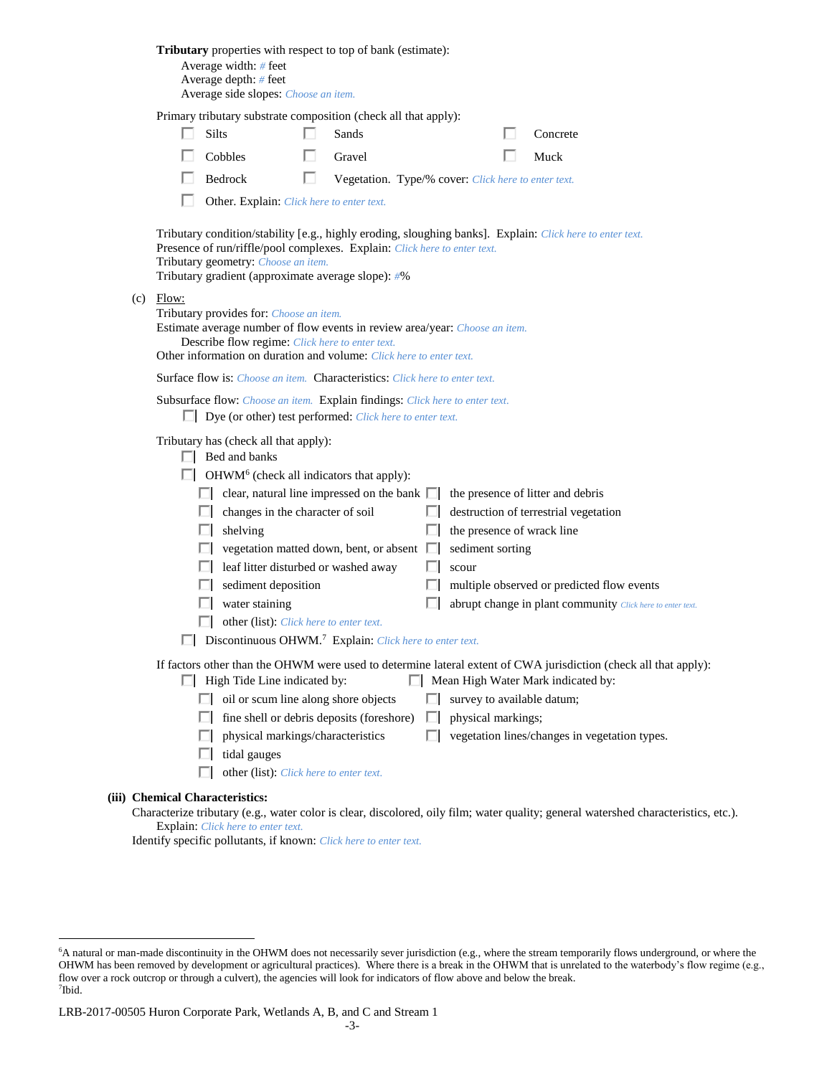| <b>Tributary</b> properties with respect to top of bank (estimate):<br>Average width: # feet<br>Average depth: # feet<br>Average side slopes: Choose an item. |                                                                                                                              |  |                                                                                                                                                        |   |                            |                                                                                                                                                        |
|---------------------------------------------------------------------------------------------------------------------------------------------------------------|------------------------------------------------------------------------------------------------------------------------------|--|--------------------------------------------------------------------------------------------------------------------------------------------------------|---|----------------------------|--------------------------------------------------------------------------------------------------------------------------------------------------------|
|                                                                                                                                                               | Silts                                                                                                                        |  | Primary tributary substrate composition (check all that apply):<br>Sands                                                                               |   |                            | Concrete                                                                                                                                               |
|                                                                                                                                                               | Cobbles                                                                                                                      |  |                                                                                                                                                        |   |                            |                                                                                                                                                        |
|                                                                                                                                                               |                                                                                                                              |  | Gravel                                                                                                                                                 |   |                            | Muck                                                                                                                                                   |
|                                                                                                                                                               | Bedrock<br>Other. Explain: Click here to enter text.                                                                         |  | Vegetation. Type/% cover: Click here to enter text.                                                                                                    |   |                            |                                                                                                                                                        |
|                                                                                                                                                               |                                                                                                                              |  |                                                                                                                                                        |   |                            |                                                                                                                                                        |
|                                                                                                                                                               | Tributary geometry: Choose an item.<br>Tributary gradient (approximate average slope): #%                                    |  | Presence of run/riffle/pool complexes. Explain: Click here to enter text.                                                                              |   |                            | Tributary condition/stability [e.g., highly eroding, sloughing banks]. Explain: Click here to enter text.                                              |
| $(c)$ Flow:                                                                                                                                                   | Tributary provides for: Choose an item.<br>Describe flow regime: Click here to enter text.                                   |  | Estimate average number of flow events in review area/year: Choose an item.<br>Other information on duration and volume: Click here to enter text.     |   |                            |                                                                                                                                                        |
|                                                                                                                                                               |                                                                                                                              |  | <b>Surface flow is:</b> <i>Choose an item.</i> <b>Characteristics:</b> <i>Click here to enter text.</i>                                                |   |                            |                                                                                                                                                        |
|                                                                                                                                                               |                                                                                                                              |  | Subsurface flow: Choose an item. Explain findings: Click here to enter text.<br>$\Box$ Dye (or other) test performed: <i>Click here to enter text.</i> |   |                            |                                                                                                                                                        |
|                                                                                                                                                               | Tributary has (check all that apply):<br>$\Box$ Bed and banks<br>$\Box$ OHWM <sup>6</sup> (check all indicators that apply): |  |                                                                                                                                                        |   |                            |                                                                                                                                                        |
| L.                                                                                                                                                            | changes in the character of soil                                                                                             |  | clear, natural line impressed on the bank $\Box$                                                                                                       |   |                            | the presence of litter and debris<br>destruction of terrestrial vegetation                                                                             |
|                                                                                                                                                               | shelving                                                                                                                     |  |                                                                                                                                                        |   | the presence of wrack line |                                                                                                                                                        |
|                                                                                                                                                               |                                                                                                                              |  | vegetation matted down, bent, or absent                                                                                                                | ш | sediment sorting           |                                                                                                                                                        |
|                                                                                                                                                               | leaf litter disturbed or washed away                                                                                         |  |                                                                                                                                                        |   | scour                      |                                                                                                                                                        |
|                                                                                                                                                               | sediment deposition                                                                                                          |  |                                                                                                                                                        |   |                            | multiple observed or predicted flow events                                                                                                             |
|                                                                                                                                                               | water staining                                                                                                               |  |                                                                                                                                                        |   |                            | abrupt change in plant community Click here to enter text.                                                                                             |
|                                                                                                                                                               | other (list): Click here to enter text.                                                                                      |  |                                                                                                                                                        |   |                            |                                                                                                                                                        |
|                                                                                                                                                               |                                                                                                                              |  | Discontinuous OHWM. <sup>7</sup> Explain: Click here to enter text.                                                                                    |   |                            |                                                                                                                                                        |
|                                                                                                                                                               | $\Box$ High Tide Line indicated by:                                                                                          |  |                                                                                                                                                        |   |                            | If factors other than the OHWM were used to determine lateral extent of CWA jurisdiction (check all that apply):<br>Mean High Water Mark indicated by: |
|                                                                                                                                                               | $\Box$ oil or scum line along shore objects                                                                                  |  |                                                                                                                                                        | ш | survey to available datum; |                                                                                                                                                        |
| ш                                                                                                                                                             |                                                                                                                              |  | fine shell or debris deposits (foreshore)                                                                                                              | П | physical markings;         |                                                                                                                                                        |
| ш                                                                                                                                                             | physical markings/characteristics                                                                                            |  |                                                                                                                                                        | П |                            | vegetation lines/changes in vegetation types.                                                                                                          |
| L.                                                                                                                                                            | tidal gauges                                                                                                                 |  |                                                                                                                                                        |   |                            |                                                                                                                                                        |
|                                                                                                                                                               | other (list): Click here to enter text.                                                                                      |  |                                                                                                                                                        |   |                            |                                                                                                                                                        |
| <b>Chemical Characteristics:</b>                                                                                                                              |                                                                                                                              |  |                                                                                                                                                        |   |                            | Characterize tributary (e.g., water color is clear, discolored, oily film; water quality; general watershed characteristics, etc.).                    |
|                                                                                                                                                               |                                                                                                                              |  |                                                                                                                                                        |   |                            |                                                                                                                                                        |

Explain: *Click here to enter text.*

**(iii)** 

 $\overline{a}$ 

Identify specific pollutants, if known: *Click here to enter text.*

<sup>6</sup>A natural or man-made discontinuity in the OHWM does not necessarily sever jurisdiction (e.g., where the stream temporarily flows underground, or where the OHWM has been removed by development or agricultural practices). Where there is a break in the OHWM that is unrelated to the waterbody's flow regime (e.g., flow over a rock outcrop or through a culvert), the agencies will look for indicators of flow above and below the break. 7 Ibid.

LRB-2017-00505 Huron Corporate Park, Wetlands A, B, and C and Stream 1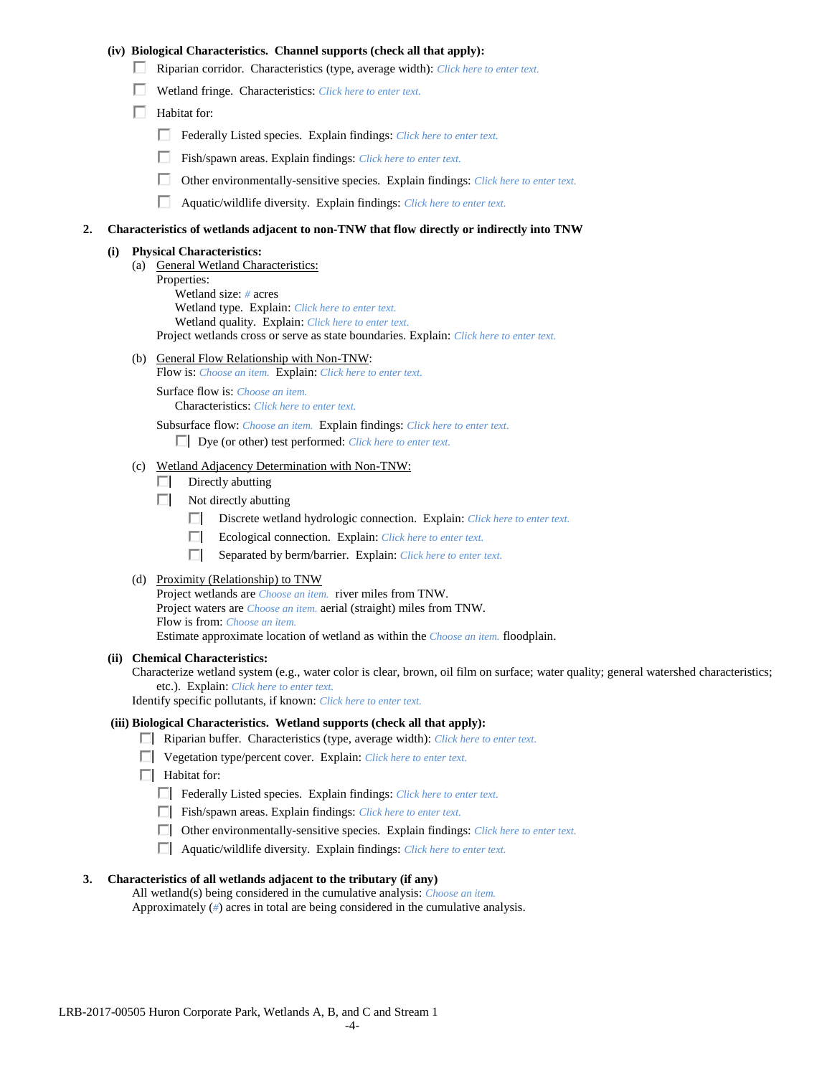## **(iv) Biological Characteristics. Channel supports (check all that apply):**

- Riparian corridor. Characteristics (type, average width): *Click here to enter text.*
- Wetland fringe. Characteristics: *Click here to enter text.*
- $\Box$  Habitat for:
	- Federally Listed species. Explain findings: *Click here to enter text.*
	- Fish/spawn areas. Explain findings: *Click here to enter text.*
	- п. Other environmentally-sensitive species. Explain findings: *Click here to enter text.*
	- Aquatic/wildlife diversity. Explain findings: *Click here to enter text.*

#### **2. Characteristics of wetlands adjacent to non-TNW that flow directly or indirectly into TNW**

#### **(i) Physical Characteristics:**

- (a) General Wetland Characteristics:
	- Properties:

Wetland size: *#* acres Wetland type. Explain: *Click here to enter text.*

Wetland quality. Explain: *Click here to enter text.*

Project wetlands cross or serve as state boundaries. Explain: *Click here to enter text.*

(b) General Flow Relationship with Non-TNW: Flow is: *Choose an item.* Explain: *Click here to enter text.*

Surface flow is: *Choose an item.* Characteristics: *Click here to enter text.*

Subsurface flow: *Choose an item.* Explain findings: *Click here to enter text.*

Dye (or other) test performed: *Click here to enter text.*

#### (c) Wetland Adjacency Determination with Non-TNW:

- $\Box$  Directly abutting
- Not directly abutting
	- Discrete wetland hydrologic connection. Explain: *Click here to enter text.*
	- $\Box$ Ecological connection. Explain: *Click here to enter text.*
	- $\Box$ Separated by berm/barrier. Explain: *Click here to enter text.*
- (d) Proximity (Relationship) to TNW

Project wetlands are *Choose an item.* river miles from TNW. Project waters are *Choose an item.* aerial (straight) miles from TNW. Flow is from: *Choose an item.* Estimate approximate location of wetland as within the *Choose an item.* floodplain.

#### **(ii) Chemical Characteristics:**

Characterize wetland system (e.g., water color is clear, brown, oil film on surface; water quality; general watershed characteristics; etc.). Explain: *Click here to enter text.*

Identify specific pollutants, if known: *Click here to enter text.*

#### **(iii) Biological Characteristics. Wetland supports (check all that apply):**

- Riparian buffer. Characteristics (type, average width): *Click here to enter text.*
- Vegetation type/percent cover. Explain: *Click here to enter text.*
- $\Box$  Habitat for:
	- Federally Listed species. Explain findings: *Click here to enter text*.
	- Fish/spawn areas. Explain findings: *Click here to enter text*.
	- Other environmentally-sensitive species. Explain findings: *Click here to enter text.*
	- Aquatic/wildlife diversity. Explain findings: *Click here to enter text.*

### **3. Characteristics of all wetlands adjacent to the tributary (if any)**

All wetland(s) being considered in the cumulative analysis: *Choose an item.* Approximately (*#*) acres in total are being considered in the cumulative analysis.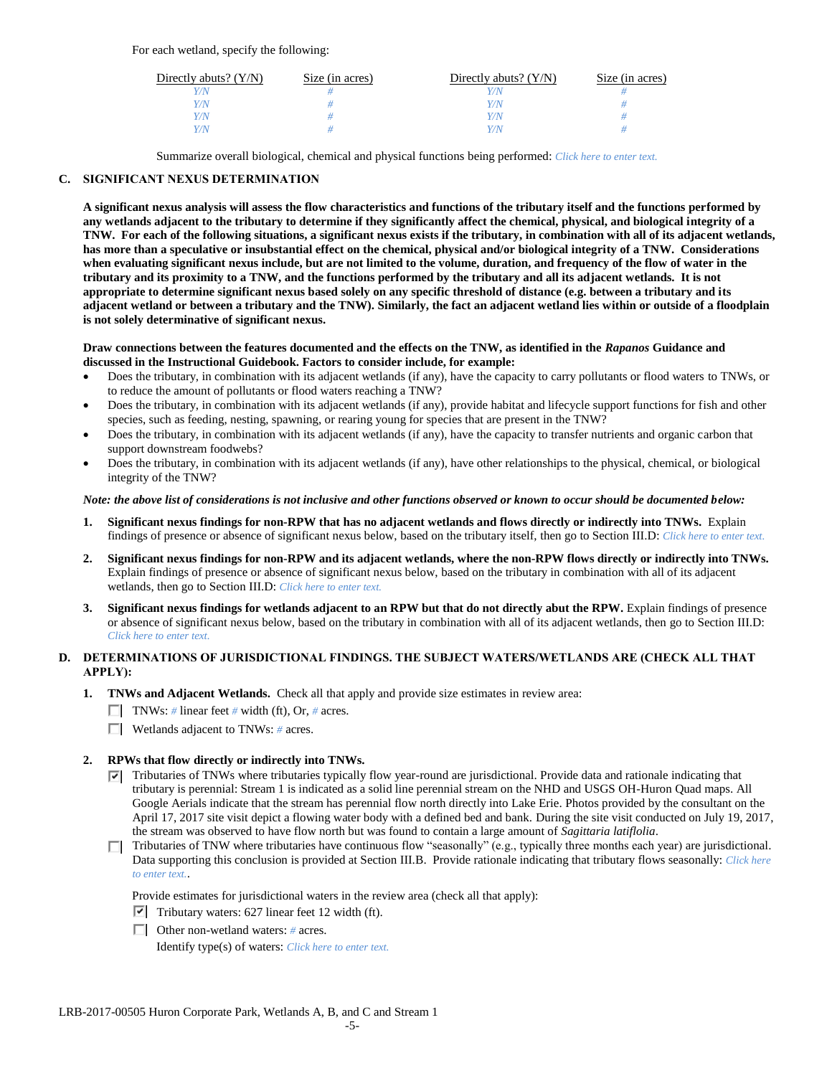For each wetland, specify the following:

| Directly abuts? $(Y/N)$ | Size (in acres) | Directly abuts? $(Y/N)$ | Size (in acres) |
|-------------------------|-----------------|-------------------------|-----------------|
|                         |                 |                         |                 |
| Y/N                     |                 | Y/N                     |                 |
| Y/N                     |                 | $\sqrt{N}$              |                 |
|                         |                 | $\alpha$                |                 |

Summarize overall biological, chemical and physical functions being performed: *Click here to enter text.*

# **C. SIGNIFICANT NEXUS DETERMINATION**

**A significant nexus analysis will assess the flow characteristics and functions of the tributary itself and the functions performed by any wetlands adjacent to the tributary to determine if they significantly affect the chemical, physical, and biological integrity of a TNW. For each of the following situations, a significant nexus exists if the tributary, in combination with all of its adjacent wetlands, has more than a speculative or insubstantial effect on the chemical, physical and/or biological integrity of a TNW. Considerations when evaluating significant nexus include, but are not limited to the volume, duration, and frequency of the flow of water in the tributary and its proximity to a TNW, and the functions performed by the tributary and all its adjacent wetlands. It is not appropriate to determine significant nexus based solely on any specific threshold of distance (e.g. between a tributary and its adjacent wetland or between a tributary and the TNW). Similarly, the fact an adjacent wetland lies within or outside of a floodplain is not solely determinative of significant nexus.** 

### **Draw connections between the features documented and the effects on the TNW, as identified in the** *Rapanos* **Guidance and discussed in the Instructional Guidebook. Factors to consider include, for example:**

- Does the tributary, in combination with its adjacent wetlands (if any), have the capacity to carry pollutants or flood waters to TNWs, or to reduce the amount of pollutants or flood waters reaching a TNW?
- Does the tributary, in combination with its adjacent wetlands (if any), provide habitat and lifecycle support functions for fish and other species, such as feeding, nesting, spawning, or rearing young for species that are present in the TNW?
- Does the tributary, in combination with its adjacent wetlands (if any), have the capacity to transfer nutrients and organic carbon that support downstream foodwebs?
- Does the tributary, in combination with its adjacent wetlands (if any), have other relationships to the physical, chemical, or biological integrity of the TNW?

## *Note: the above list of considerations is not inclusive and other functions observed or known to occur should be documented below:*

- **1. Significant nexus findings for non-RPW that has no adjacent wetlands and flows directly or indirectly into TNWs.** Explain findings of presence or absence of significant nexus below, based on the tributary itself, then go to Section III.D: *Click here to enter text.*
- **2. Significant nexus findings for non-RPW and its adjacent wetlands, where the non-RPW flows directly or indirectly into TNWs.**  Explain findings of presence or absence of significant nexus below, based on the tributary in combination with all of its adjacent wetlands, then go to Section III.D: *Click here to enter text.*
- **3. Significant nexus findings for wetlands adjacent to an RPW but that do not directly abut the RPW.** Explain findings of presence or absence of significant nexus below, based on the tributary in combination with all of its adjacent wetlands, then go to Section III.D: *Click here to enter text.*

# **D. DETERMINATIONS OF JURISDICTIONAL FINDINGS. THE SUBJECT WATERS/WETLANDS ARE (CHECK ALL THAT APPLY):**

- **1. TNWs and Adjacent Wetlands.** Check all that apply and provide size estimates in review area:
	- TNWs: *#* linear feet *#* width (ft), Or, *#* acres.
	- Wetlands adjacent to TNWs: *#* acres.

# **2. RPWs that flow directly or indirectly into TNWs.**

- Tributaries of TNWs where tributaries typically flow year-round are jurisdictional. Provide data and rationale indicating that tributary is perennial: Stream 1 is indicated as a solid line perennial stream on the NHD and USGS OH-Huron Quad maps. All Google Aerials indicate that the stream has perennial flow north directly into Lake Erie. Photos provided by the consultant on the April 17, 2017 site visit depict a flowing water body with a defined bed and bank. During the site visit conducted on July 19, 2017, the stream was observed to have flow north but was found to contain a large amount of *Sagittaria latiflolia*.
- Tributaries of TNW where tributaries have continuous flow "seasonally" (e.g., typically three months each year) are jurisdictional. Data supporting this conclusion is provided at Section III.B. Provide rationale indicating that tributary flows seasonally: *Click here to enter text.*.

Provide estimates for jurisdictional waters in the review area (check all that apply):

- $\triangledown$  Tributary waters: 627 linear feet 12 width (ft).
- Other non-wetland waters: *#* acres.

Identify type(s) of waters: *Click here to enter text.*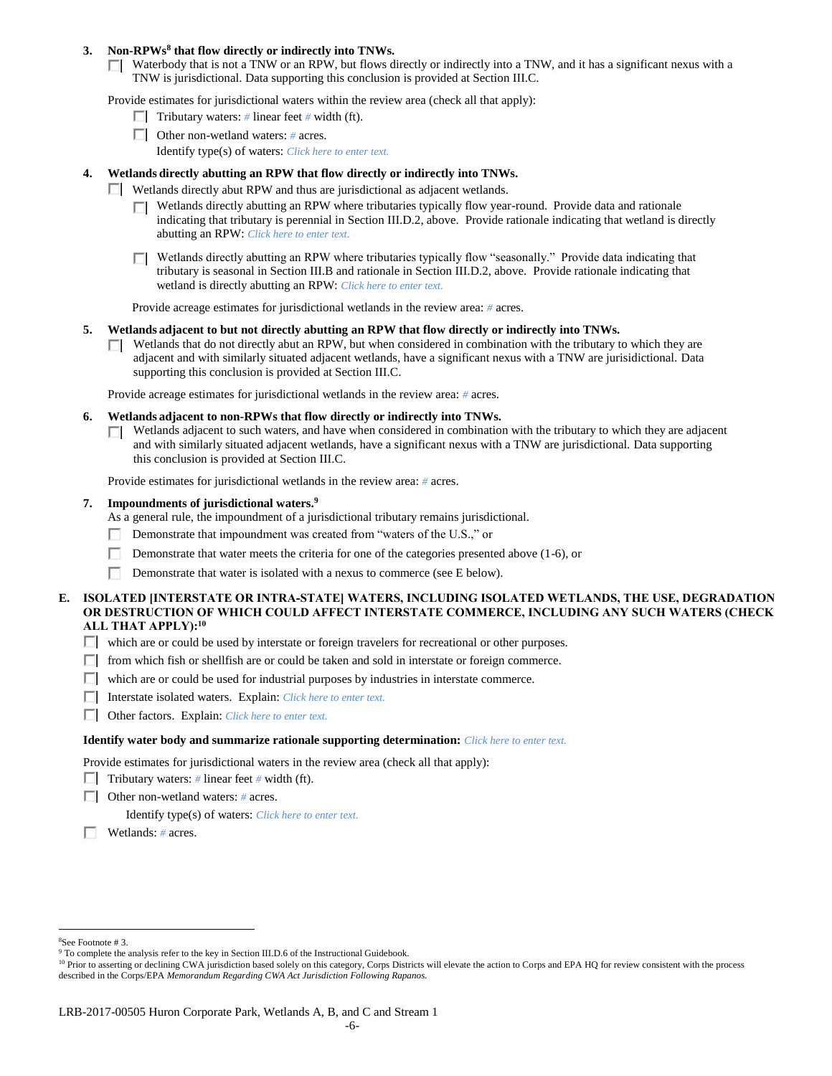### **3. Non-RPWs<sup>8</sup> that flow directly or indirectly into TNWs.**

 $\Box$  Waterbody that is not a TNW or an RPW, but flows directly or indirectly into a TNW, and it has a significant nexus with a TNW is jurisdictional. Data supporting this conclusion is provided at Section III.C.

Provide estimates for jurisdictional waters within the review area (check all that apply):

- **Tributary waters:**  $\#$  linear feet  $\#$  width (ft).
- Other non-wetland waters: *#* acres.
	- Identify type(s) of waters: *Click here to enter text.*

### **4. Wetlands directly abutting an RPW that flow directly or indirectly into TNWs.**

- $\Box$  Wetlands directly abut RPW and thus are jurisdictional as adjacent wetlands.
	- $\Box$  Wetlands directly abutting an RPW where tributaries typically flow year-round. Provide data and rationale indicating that tributary is perennial in Section III.D.2, above. Provide rationale indicating that wetland is directly abutting an RPW: *Click here to enter text.*
	- Wetlands directly abutting an RPW where tributaries typically flow "seasonally." Provide data indicating that ПL. tributary is seasonal in Section III.B and rationale in Section III.D.2, above. Provide rationale indicating that wetland is directly abutting an RPW: *Click here to enter text.*

Provide acreage estimates for jurisdictional wetlands in the review area: *#* acres.

### **5. Wetlands adjacent to but not directly abutting an RPW that flow directly or indirectly into TNWs.**

 $\Box$  Wetlands that do not directly abut an RPW, but when considered in combination with the tributary to which they are adjacent and with similarly situated adjacent wetlands, have a significant nexus with a TNW are jurisidictional. Data supporting this conclusion is provided at Section III.C.

Provide acreage estimates for jurisdictional wetlands in the review area: *#* acres.

- **6. Wetlands adjacent to non-RPWs that flow directly or indirectly into TNWs.** 
	- Wetlands adjacent to such waters, and have when considered in combination with the tributary to which they are adjacent п. and with similarly situated adjacent wetlands, have a significant nexus with a TNW are jurisdictional. Data supporting this conclusion is provided at Section III.C.

Provide estimates for jurisdictional wetlands in the review area: *#* acres.

### **7. Impoundments of jurisdictional waters. 9**

As a general rule, the impoundment of a jurisdictional tributary remains jurisdictional.

- Demonstrate that impoundment was created from "waters of the U.S.," or
- Demonstrate that water meets the criteria for one of the categories presented above (1-6), or
- п Demonstrate that water is isolated with a nexus to commerce (see E below).

## **E. ISOLATED [INTERSTATE OR INTRA-STATE] WATERS, INCLUDING ISOLATED WETLANDS, THE USE, DEGRADATION OR DESTRUCTION OF WHICH COULD AFFECT INTERSTATE COMMERCE, INCLUDING ANY SUCH WATERS (CHECK ALL THAT APPLY):<sup>10</sup>**

- $\Box$  which are or could be used by interstate or foreign travelers for recreational or other purposes.
- $\Box$  from which fish or shellfish are or could be taken and sold in interstate or foreign commerce.
- $\Box$  which are or could be used for industrial purposes by industries in interstate commerce.
- Interstate isolated waters.Explain: *Click here to enter text.*
- Other factors.Explain: *Click here to enter text.*

#### **Identify water body and summarize rationale supporting determination:** *Click here to enter text.*

Provide estimates for jurisdictional waters in the review area (check all that apply):

- **Tributary waters:** # linear feet # width (ft).
- Other non-wetland waters: *#* acres.

Identify type(s) of waters: *Click here to enter text.*

Wetlands: *#* acres.

 $\overline{a}$ <sup>8</sup>See Footnote # 3.

<sup>&</sup>lt;sup>9</sup> To complete the analysis refer to the key in Section III.D.6 of the Instructional Guidebook.

<sup>&</sup>lt;sup>10</sup> Prior to asserting or declining CWA jurisdiction based solely on this category, Corps Districts will elevate the action to Corps and EPA HQ for review consistent with the process described in the Corps/EPA *Memorandum Regarding CWA Act Jurisdiction Following Rapanos.*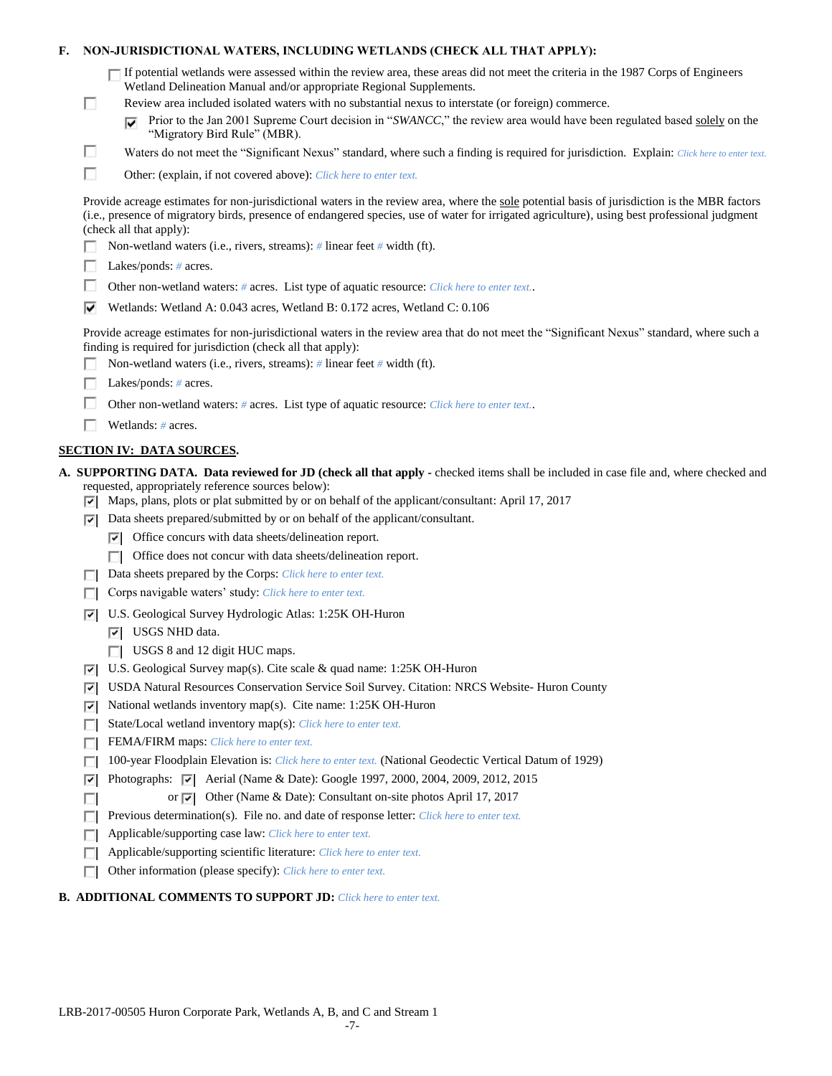|  | F.     NON-JURISDICTIONAL WATERS, INCLUDING WETLANDS (CHECK ALL THAT APPLY): |  |
|--|------------------------------------------------------------------------------|--|
|--|------------------------------------------------------------------------------|--|

| □ If potential wetlands were assessed within the review area, these areas did not meet the criteria in the 1987 Corps of Engineers |
|------------------------------------------------------------------------------------------------------------------------------------|
| Wetland Delineation Manual and/or appropriate Regional Supplements.                                                                |

- Review area included isolated waters with no substantial nexus to interstate (or foreign) commerce.
	- Prior to the Jan 2001 Supreme Court decision in "*SWANCC*," the review area would have been regulated based solely on the "Migratory Bird Rule" (MBR).
- Waters do not meet the "Significant Nexus" standard, where such a finding is required for jurisdiction. Explain: Click here to enter text.
- П Other: (explain, if not covered above): *Click here to enter text.*

Provide acreage estimates for non-jurisdictional waters in the review area, where the sole potential basis of jurisdiction is the MBR factors (i.e., presence of migratory birds, presence of endangered species, use of water for irrigated agriculture), using best professional judgment (check all that apply):

- Non-wetland waters (i.e., rivers, streams): *#* linear feet *#* width (ft).
- Lakes/ponds: *#* acres.

П

П

- Other non-wetland waters: # acres. List type of aquatic resource: *Click here to enter text.*.
- Wetlands: Wetland A: 0.043 acres, Wetland B: 0.172 acres, Wetland C: 0.106

Provide acreage estimates for non-jurisdictional waters in the review area that do not meet the "Significant Nexus" standard, where such a finding is required for jurisdiction (check all that apply):

- Non-wetland waters (i.e., rivers, streams): *#* linear feet *#* width (ft).
- Lakes/ponds: *#* acres.
- Other non-wetland waters: *#* acres. List type of aquatic resource: *Click here to enter text.*.
- Wetlands: *#* acres.

# **SECTION IV: DATA SOURCES.**

- **A. SUPPORTING DATA. Data reviewed for JD (check all that apply -** checked items shall be included in case file and, where checked and requested, appropriately reference sources below):
	- $\triangledown$  Maps, plans, plots or plat submitted by or on behalf of the applicant/consultant: April 17, 2017
	- $\nabla$  Data sheets prepared/submitted by or on behalf of the applicant/consultant.
		- $\nabla$  Office concurs with data sheets/delineation report.
		- $\Box$  Office does not concur with data sheets/delineation report.
	- Data sheets prepared by the Corps: *Click here to enter text.*
	- Corps navigable waters' study: *Click here to enter text.*
	- U.S. Geological Survey Hydrologic Atlas: 1:25K OH-Huron
		- **V** USGS NHD data.

п

- USGS 8 and 12 digit HUC maps.
- U.S. Geological Survey map(s). Cite scale & quad name: 1:25K OH-Huron
- USDA Natural Resources Conservation Service Soil Survey. Citation: NRCS Website- Huron County
- $|\nabla|$  National wetlands inventory map(s). Cite name: 1:25K OH-Huron
- State/Local wetland inventory map(s): *Click here to enter text.*
- FFEMA/FIRM maps: *Click here to enter text.*
- 100-year Floodplain Elevation is: *Click here to enter text.* (National Geodectic Vertical Datum of 1929)
- $\nabla$  Photographs:  $\nabla$  Aerial (Name & Date): Google 1997, 2000, 2004, 2009, 2012, 2015
	- or  $\overline{|\mathbf{v}|}$  Other (Name & Date): Consultant on-site photos April 17, 2017
- **Previous determination(s). File no. and date of response letter:** *Click here to enter text.*
- Applicable/supporting case law: *Click here to enter text.*
- Applicable/supporting scientific literature: *Click here to enter text.*
- Other information (please specify): *Click here to enter text.*

## **B. ADDITIONAL COMMENTS TO SUPPORT JD:** *Click here to enter text.*